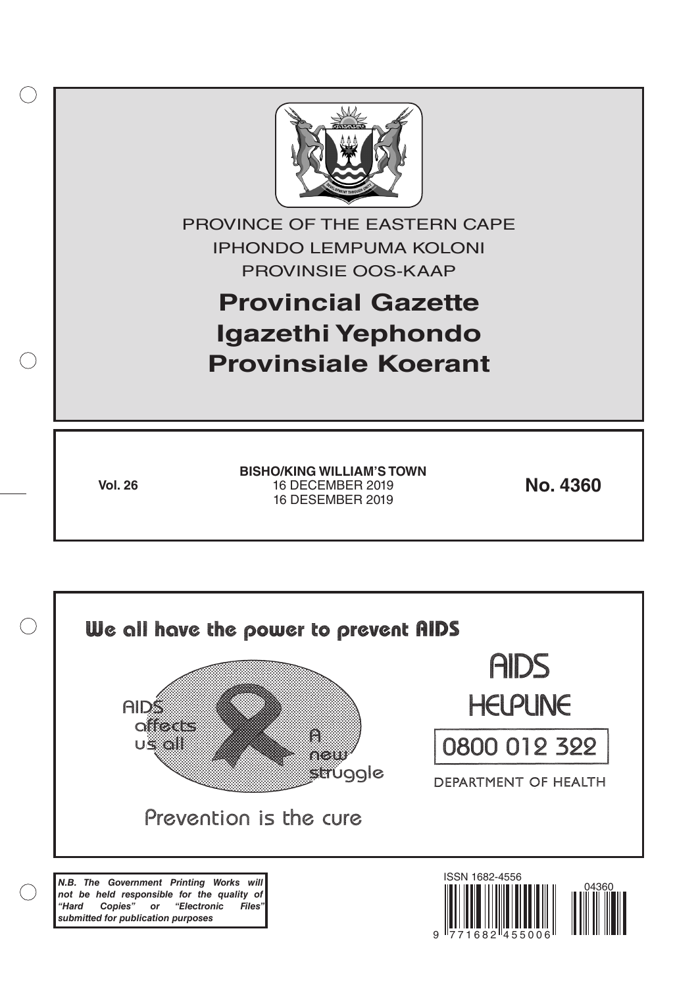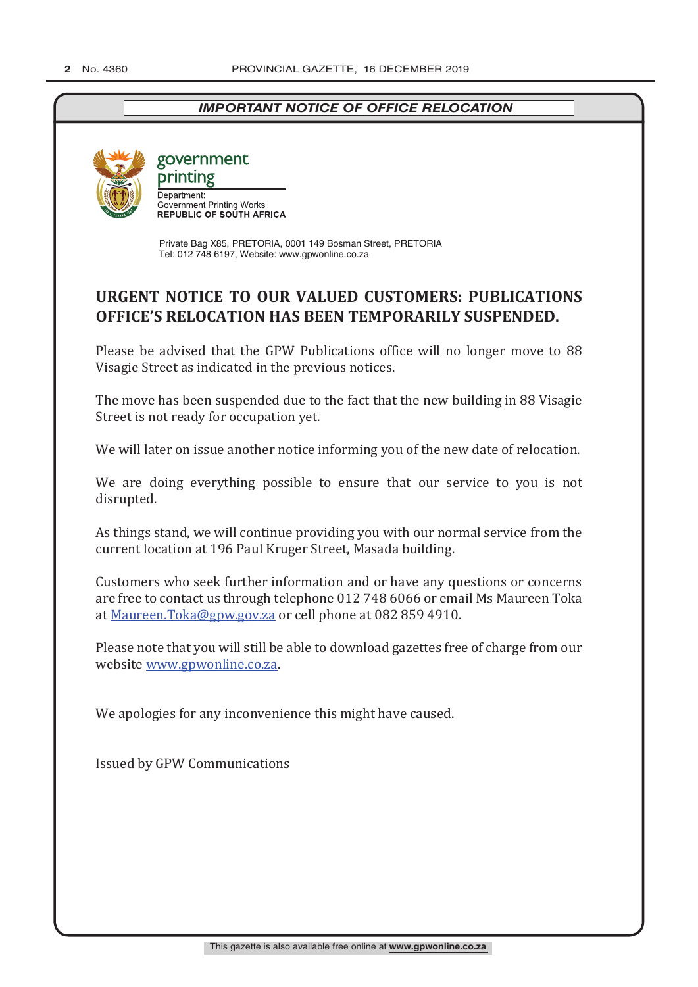## *IMPORTANT NOTICE OF OFFICE RELOCATION*



government printing Department: **Government Printing Works<br>REPUBLIC OF SOUTH AFRICA** 

Private Bag X85, PRETORIA, 0001 149 Bosman Street, PRETORIA Tel: 012 748 6197, Website: www.gpwonline.co.za

## **URGENT NOTICE TO OUR VALUED CUSTOMERS: PUBLICATIONS OFFICE'S RELOCATION HAS BEEN TEMPORARILY SUSPENDED.**

Please be advised that the GPW Publications office will no longer move to 88 Visagie Street as indicated in the previous notices.

The move has been suspended due to the fact that the new building in 88 Visagie Street is not ready for occupation yet.

We will later on issue another notice informing you of the new date of relocation.

We are doing everything possible to ensure that our service to you is not disrupted.

As things stand, we will continue providing you with our normal service from the current location at 196 Paul Kruger Street, Masada building.

Customers who seek further information and or have any questions or concerns are free to contact us through telephone 012 748 6066 or email Ms Maureen Toka at Maureen.Toka@gpw.gov.za or cell phone at 082 859 4910.

Please note that you will still be able to download gazettes free of charge from our website www.gpwonline.co.za.

We apologies for any inconvenience this might have caused.

Issued by GPW Communications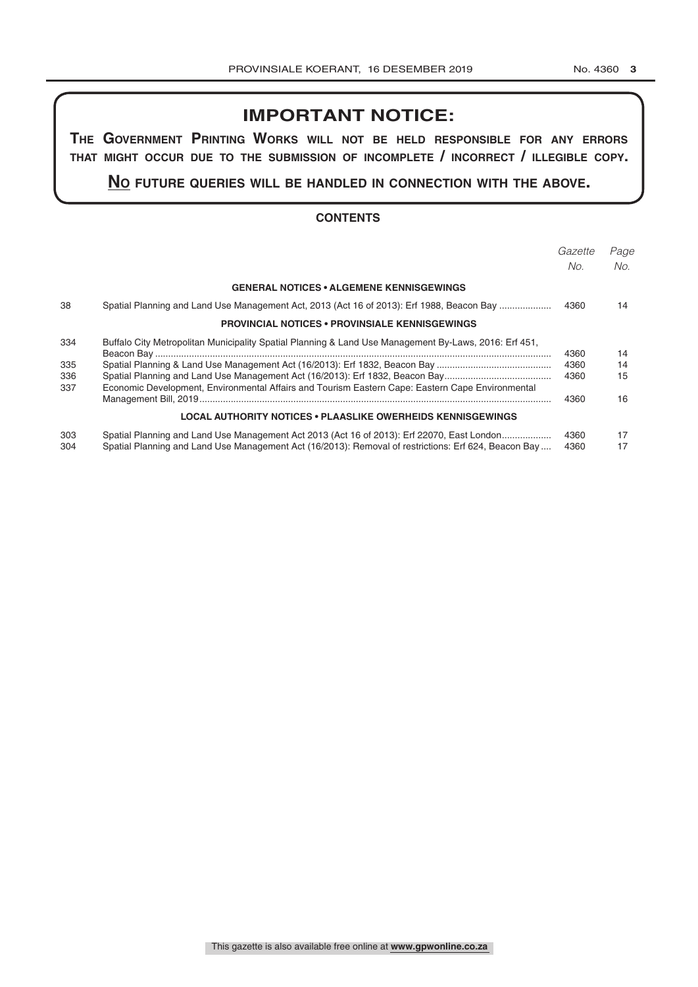## **IMPORTANT NOTICE:**

**The GovernmenT PrinTinG Works Will noT be held resPonsible for any errors ThaT miGhT occur due To The submission of incomPleTe / incorrecT / illeGible coPy.**

**no fuTure queries Will be handled in connecTion WiTh The above.**

#### **CONTENTS**

|            |                                                                                                       | Gazette | Page |
|------------|-------------------------------------------------------------------------------------------------------|---------|------|
|            |                                                                                                       | No.     | No.  |
|            | <b>GENERAL NOTICES • ALGEMENE KENNISGEWINGS</b>                                                       |         |      |
| 38         | Spatial Planning and Land Use Management Act, 2013 (Act 16 of 2013): Erf 1988, Beacon Bay             | 4360    | 14   |
|            | <b>PROVINCIAL NOTICES • PROVINSIALE KENNISGEWINGS</b>                                                 |         |      |
| 334        | Buffalo City Metropolitan Municipality Spatial Planning & Land Use Management By-Laws, 2016: Erf 451, |         |      |
|            |                                                                                                       | 4360    | 14   |
| 335        |                                                                                                       | 4360    | 14   |
| 336<br>337 | Economic Development, Environmental Affairs and Tourism Eastern Cape: Eastern Cape Environmental      | 4360    | 15   |
|            |                                                                                                       | 4360    | 16   |
|            | <b>LOCAL AUTHORITY NOTICES • PLAASLIKE OWERHEIDS KENNISGEWINGS</b>                                    |         |      |
| 303        | Spatial Planning and Land Use Management Act 2013 (Act 16 of 2013): Erf 22070, East London            | 4360    | 17   |
| 304        | Spatial Planning and Land Use Management Act (16/2013): Removal of restrictions: Erf 624, Beacon Bay  | 4360    | 17   |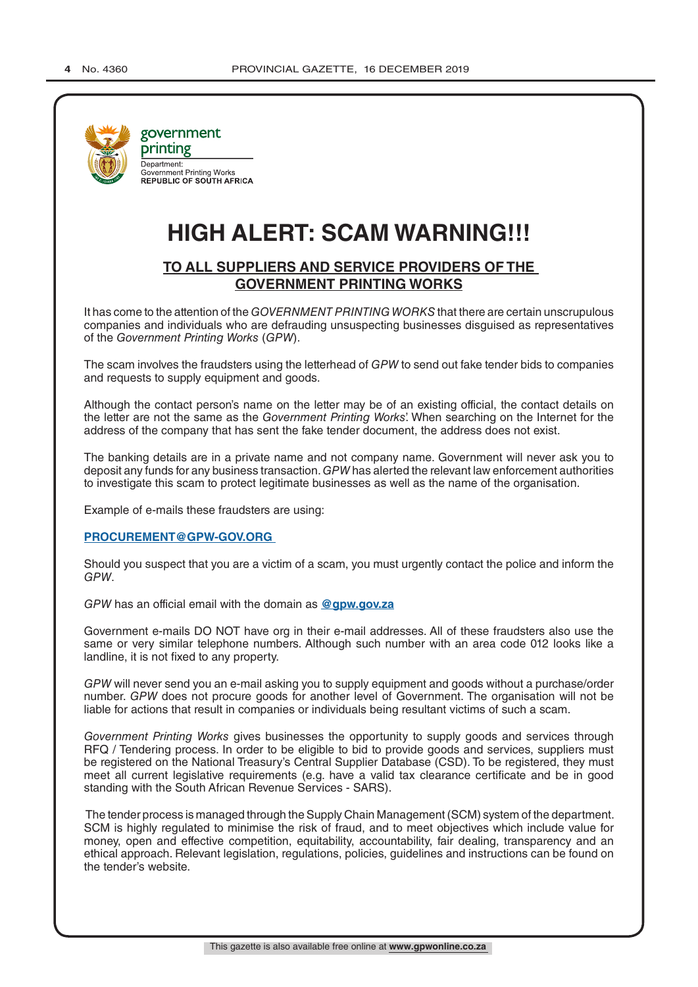

# **HIGH ALERT: SCAM WARNING!!!**

## **TO ALL SUPPLIERS AND SERVICE PROVIDERS OF THE GOVERNMENT PRINTING WORKS**

It has come to the attention of the *GOVERNMENT PRINTING WORKS* that there are certain unscrupulous companies and individuals who are defrauding unsuspecting businesses disguised as representatives of the *Government Printing Works* (*GPW*).

The scam involves the fraudsters using the letterhead of *GPW* to send out fake tender bids to companies and requests to supply equipment and goods.

Although the contact person's name on the letter may be of an existing official, the contact details on the letter are not the same as the *Government Printing Works*'. When searching on the Internet for the address of the company that has sent the fake tender document, the address does not exist.

The banking details are in a private name and not company name. Government will never ask you to deposit any funds for any business transaction. *GPW* has alerted the relevant law enforcement authorities to investigate this scam to protect legitimate businesses as well as the name of the organisation.

Example of e-mails these fraudsters are using:

#### **PROCUREMENT@GPW-GOV.ORG**

Should you suspect that you are a victim of a scam, you must urgently contact the police and inform the *GPW*.

*GPW* has an official email with the domain as **@gpw.gov.za**

Government e-mails DO NOT have org in their e-mail addresses. All of these fraudsters also use the same or very similar telephone numbers. Although such number with an area code 012 looks like a landline, it is not fixed to any property.

*GPW* will never send you an e-mail asking you to supply equipment and goods without a purchase/order number. *GPW* does not procure goods for another level of Government. The organisation will not be liable for actions that result in companies or individuals being resultant victims of such a scam.

*Government Printing Works* gives businesses the opportunity to supply goods and services through RFQ / Tendering process. In order to be eligible to bid to provide goods and services, suppliers must be registered on the National Treasury's Central Supplier Database (CSD). To be registered, they must meet all current legislative requirements (e.g. have a valid tax clearance certificate and be in good standing with the South African Revenue Services - SARS).

 The tender process is managed through the Supply Chain Management (SCM) system of the department. SCM is highly regulated to minimise the risk of fraud, and to meet objectives which include value for money, open and effective competition, equitability, accountability, fair dealing, transparency and an ethical approach. Relevant legislation, regulations, policies, guidelines and instructions can be found on the tender's website.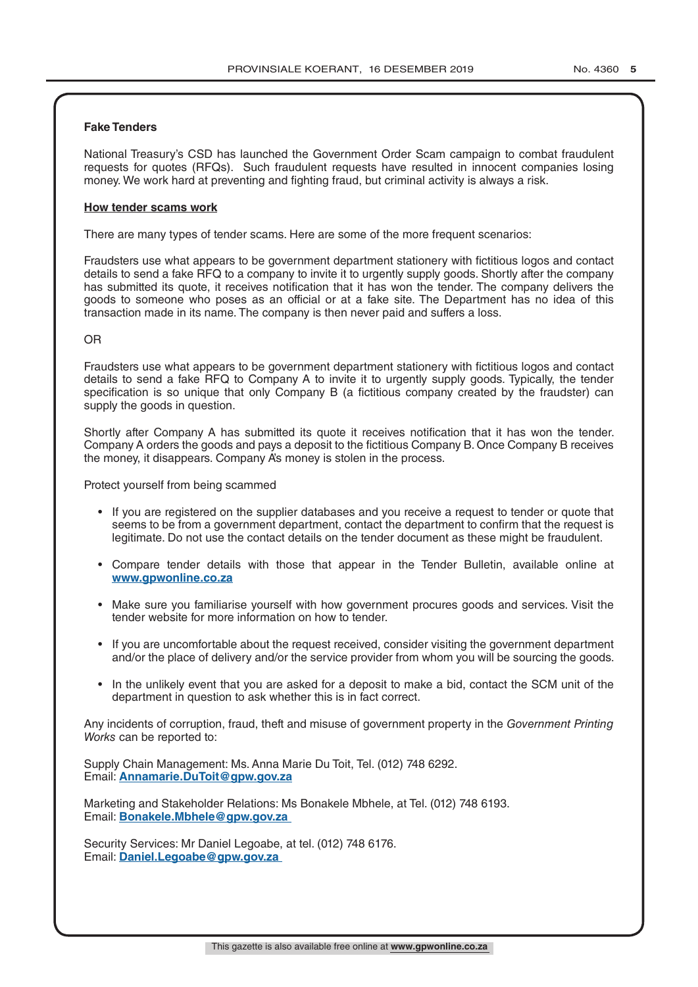#### **Fake Tenders**

National Treasury's CSD has launched the Government Order Scam campaign to combat fraudulent requests for quotes (RFQs). Such fraudulent requests have resulted in innocent companies losing money. We work hard at preventing and fighting fraud, but criminal activity is always a risk.

#### **How tender scams work**

There are many types of tender scams. Here are some of the more frequent scenarios:

Fraudsters use what appears to be government department stationery with fictitious logos and contact details to send a fake RFQ to a company to invite it to urgently supply goods. Shortly after the company has submitted its quote, it receives notification that it has won the tender. The company delivers the goods to someone who poses as an official or at a fake site. The Department has no idea of this transaction made in its name. The company is then never paid and suffers a loss.

#### OR

Fraudsters use what appears to be government department stationery with fictitious logos and contact details to send a fake RFQ to Company A to invite it to urgently supply goods. Typically, the tender specification is so unique that only Company B (a fictitious company created by the fraudster) can supply the goods in question.

Shortly after Company A has submitted its quote it receives notification that it has won the tender. Company A orders the goods and pays a deposit to the fictitious Company B. Once Company B receives the money, it disappears. Company A's money is stolen in the process.

Protect yourself from being scammed

- If you are registered on the supplier databases and you receive a request to tender or quote that seems to be from a government department, contact the department to confirm that the request is legitimate. Do not use the contact details on the tender document as these might be fraudulent.
- Compare tender details with those that appear in the Tender Bulletin, available online at **www.gpwonline.co.za**
- Make sure you familiarise yourself with how government procures goods and services. Visit the tender website for more information on how to tender.
- If you are uncomfortable about the request received, consider visiting the government department and/or the place of delivery and/or the service provider from whom you will be sourcing the goods.
- In the unlikely event that you are asked for a deposit to make a bid, contact the SCM unit of the department in question to ask whether this is in fact correct.

Any incidents of corruption, fraud, theft and misuse of government property in the *Government Printing Works* can be reported to:

Supply Chain Management: Ms. Anna Marie Du Toit, Tel. (012) 748 6292. Email: **Annamarie.DuToit@gpw.gov.za**

Marketing and Stakeholder Relations: Ms Bonakele Mbhele, at Tel. (012) 748 6193. Email: **Bonakele.Mbhele@gpw.gov.za** 

Security Services: Mr Daniel Legoabe, at tel. (012) 748 6176. Email: **Daniel.Legoabe@gpw.gov.za**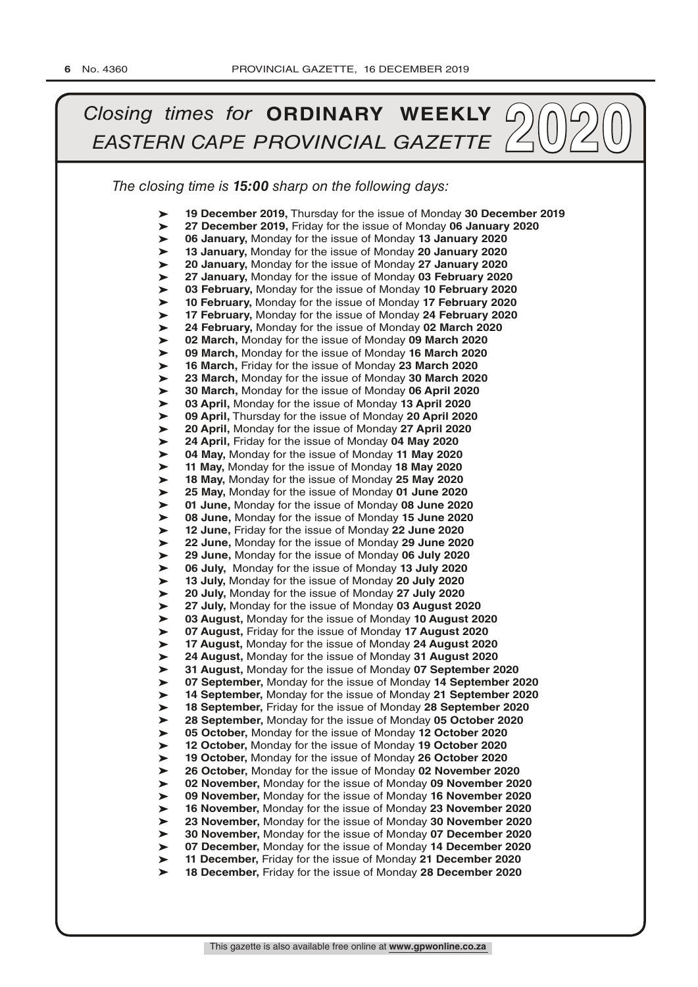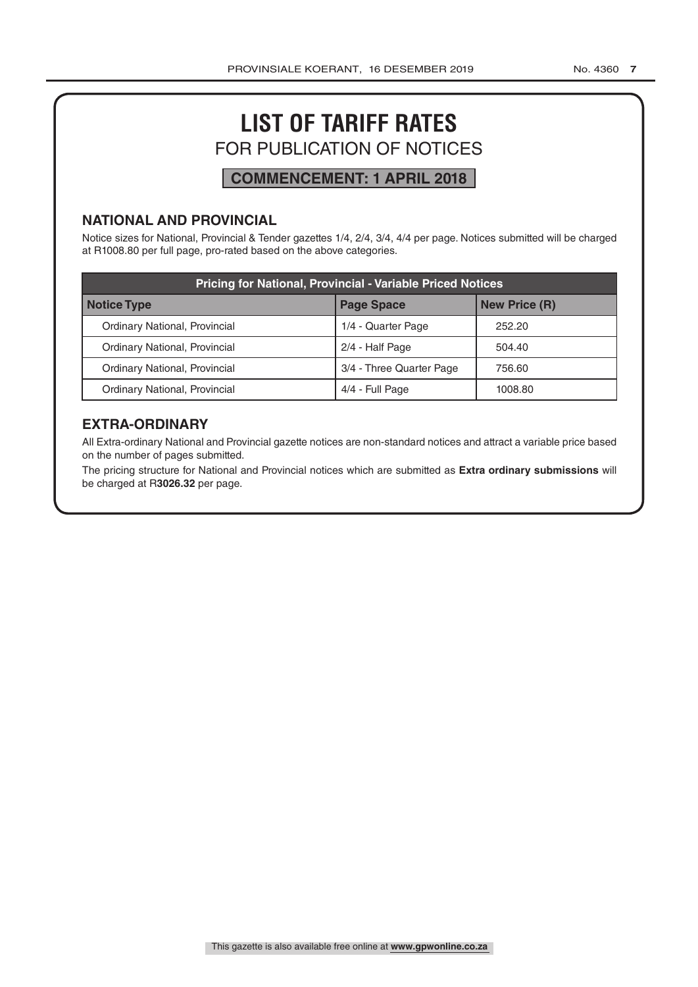# **LIST OF TARIFF RATES** FOR PUBLICATION OF NOTICES

**COMMENCEMENT: 1 APRIL 2018**

## **NATIONAL AND PROVINCIAL**

Notice sizes for National, Provincial & Tender gazettes 1/4, 2/4, 3/4, 4/4 per page. Notices submitted will be charged at R1008.80 per full page, pro-rated based on the above categories.

| <b>Pricing for National, Provincial - Variable Priced Notices</b> |                          |                      |  |
|-------------------------------------------------------------------|--------------------------|----------------------|--|
| <b>Notice Type</b>                                                | <b>Page Space</b>        | <b>New Price (R)</b> |  |
| Ordinary National, Provincial                                     | 1/4 - Quarter Page       | 252.20               |  |
| Ordinary National, Provincial                                     | 2/4 - Half Page          | 504.40               |  |
| Ordinary National, Provincial                                     | 3/4 - Three Quarter Page | 756.60               |  |
| Ordinary National, Provincial                                     | 4/4 - Full Page          | 1008.80              |  |

## **EXTRA-ORDINARY**

All Extra-ordinary National and Provincial gazette notices are non-standard notices and attract a variable price based on the number of pages submitted.

The pricing structure for National and Provincial notices which are submitted as **Extra ordinary submissions** will be charged at R**3026.32** per page.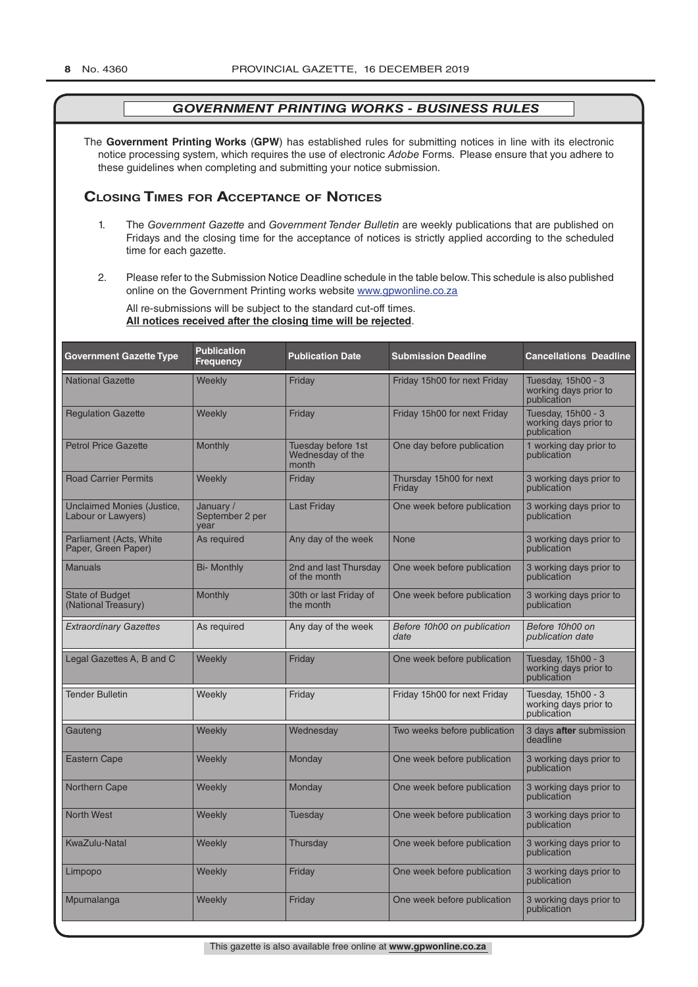The **Government Printing Works** (**GPW**) has established rules for submitting notices in line with its electronic notice processing system, which requires the use of electronic *Adobe* Forms. Please ensure that you adhere to these guidelines when completing and submitting your notice submission.

### **Closing Times for ACCepTAnCe of noTiCes**

- 1. The *Government Gazette* and *Government Tender Bulletin* are weekly publications that are published on Fridays and the closing time for the acceptance of notices is strictly applied according to the scheduled time for each gazette.
- 2. Please refer to the Submission Notice Deadline schedule in the table below. This schedule is also published online on the Government Printing works website www.gpwonline.co.za

All re-submissions will be subject to the standard cut-off times. **All notices received after the closing time will be rejected**.

| <b>Government Gazette Type</b>                   | <b>Publication</b><br><b>Frequency</b> | <b>Publication Date</b>                         | <b>Submission Deadline</b>          | <b>Cancellations Deadline</b>                              |
|--------------------------------------------------|----------------------------------------|-------------------------------------------------|-------------------------------------|------------------------------------------------------------|
| <b>National Gazette</b>                          | Weekly                                 | Friday                                          | Friday 15h00 for next Friday        | Tuesday, 15h00 - 3<br>working days prior to<br>publication |
| <b>Regulation Gazette</b>                        | Weekly                                 | Friday                                          | Friday 15h00 for next Friday        | Tuesday, 15h00 - 3<br>working days prior to<br>publication |
| <b>Petrol Price Gazette</b>                      | Monthly                                | Tuesday before 1st<br>Wednesday of the<br>month | One day before publication          | 1 working day prior to<br>publication                      |
| <b>Road Carrier Permits</b>                      | Weekly                                 | Friday                                          | Thursday 15h00 for next<br>Friday   | 3 working days prior to<br>publication                     |
| Unclaimed Monies (Justice,<br>Labour or Lawyers) | January /<br>September 2 per<br>year   | <b>Last Friday</b>                              | One week before publication         | 3 working days prior to<br>publication                     |
| Parliament (Acts, White<br>Paper, Green Paper)   | As required                            | Any day of the week                             | None                                | 3 working days prior to<br>publication                     |
| <b>Manuals</b>                                   | <b>Bi- Monthly</b>                     | 2nd and last Thursday<br>of the month           | One week before publication         | 3 working days prior to<br>publication                     |
| <b>State of Budget</b><br>(National Treasury)    | <b>Monthly</b>                         | 30th or last Friday of<br>the month             | One week before publication         | 3 working days prior to<br>publication                     |
| <b>Extraordinary Gazettes</b>                    | As required                            | Any day of the week                             | Before 10h00 on publication<br>date | Before 10h00 on<br>publication date                        |
| Legal Gazettes A, B and C                        | Weekly                                 | Friday                                          | One week before publication         | Tuesday, 15h00 - 3<br>working days prior to<br>publication |
| <b>Tender Bulletin</b>                           | Weekly                                 | Friday                                          | Friday 15h00 for next Friday        | Tuesday, 15h00 - 3<br>working days prior to<br>publication |
| Gauteng                                          | Weekly                                 | Wednesday                                       | Two weeks before publication        | 3 days after submission<br>deadline                        |
| Eastern Cape                                     | Weekly                                 | Monday                                          | One week before publication         | 3 working days prior to<br>publication                     |
| <b>Northern Cape</b>                             | Weekly                                 | Monday                                          | One week before publication         | 3 working days prior to<br>publication                     |
| <b>North West</b>                                | Weekly                                 | <b>Tuesday</b>                                  | One week before publication         | 3 working days prior to<br>publication                     |
| KwaZulu-Natal                                    | Weekly                                 | Thursday                                        | One week before publication         | 3 working days prior to<br>publication                     |
| Limpopo                                          | Weekly                                 | Friday                                          | One week before publication         | 3 working days prior to<br>publication                     |
| Mpumalanga                                       | Weekly                                 | Friday                                          | One week before publication         | 3 working days prior to<br>publication                     |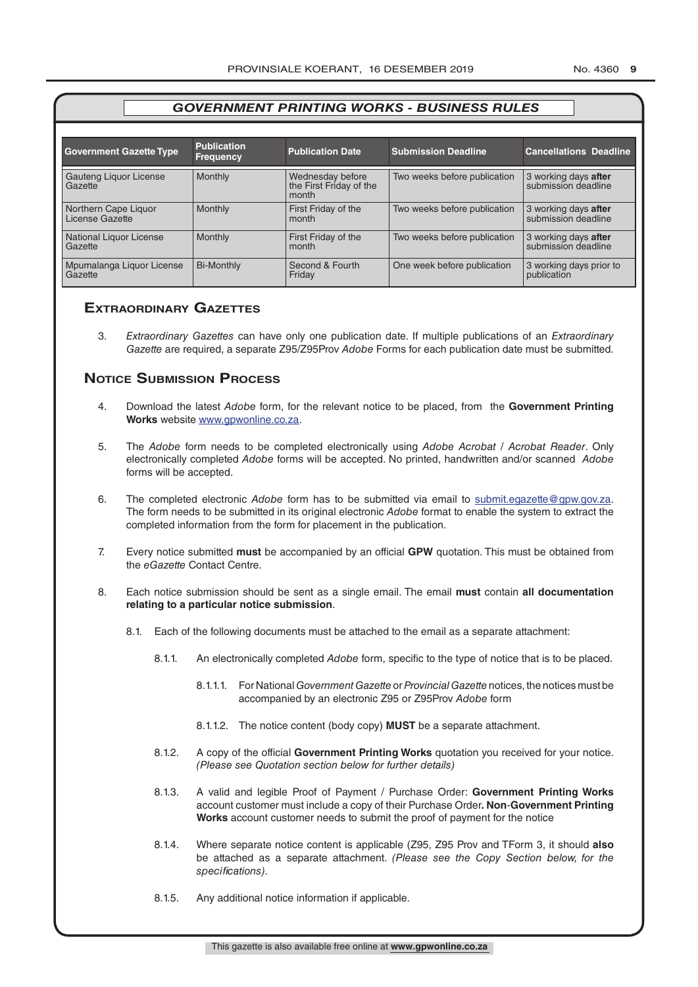| <b>Government Gazette Type</b>            | <b>Publication</b><br><b>Frequency</b> | <b>Publication Date</b>                              | <b>Submission Deadline</b>   | <b>Cancellations Deadline</b>               |
|-------------------------------------------|----------------------------------------|------------------------------------------------------|------------------------------|---------------------------------------------|
| Gauteng Liquor License<br>Gazette         | Monthly                                | Wednesday before<br>the First Friday of the<br>month | Two weeks before publication | 3 working days after<br>submission deadline |
| Northern Cape Liquor<br>License Gazette   | <b>Monthly</b>                         | First Friday of the<br>month                         | Two weeks before publication | 3 working days after<br>submission deadline |
| <b>National Liquor License</b><br>Gazette | <b>Monthly</b>                         | First Friday of the<br>month                         | Two weeks before publication | 3 working days after<br>submission deadline |
| Mpumalanga Liquor License<br>Gazette      | <b>Bi-Monthly</b>                      | Second & Fourth<br>Friday                            | One week before publication  | 3 working days prior to<br>publication      |

## **exTrAordinAry gAzeTTes**

3. *Extraordinary Gazettes* can have only one publication date. If multiple publications of an *Extraordinary Gazette* are required, a separate Z95/Z95Prov *Adobe* Forms for each publication date must be submitted.

## **NOTICE SUBMISSION PROCESS**

- 4. Download the latest *Adobe* form, for the relevant notice to be placed, from the **Government Printing Works** website www.gpwonline.co.za.
- 5. The *Adobe* form needs to be completed electronically using *Adobe Acrobat* / *Acrobat Reader*. Only electronically completed *Adobe* forms will be accepted. No printed, handwritten and/or scanned *Adobe* forms will be accepted.
- 6. The completed electronic *Adobe* form has to be submitted via email to submit.egazette@gpw.gov.za. The form needs to be submitted in its original electronic *Adobe* format to enable the system to extract the completed information from the form for placement in the publication.
- 7. Every notice submitted **must** be accompanied by an official **GPW** quotation. This must be obtained from the *eGazette* Contact Centre.
- 8. Each notice submission should be sent as a single email. The email **must** contain **all documentation relating to a particular notice submission**.
	- 8.1. Each of the following documents must be attached to the email as a separate attachment:
		- 8.1.1. An electronically completed *Adobe* form, specific to the type of notice that is to be placed.
			- 8.1.1.1. For National *Government Gazette* or *Provincial Gazette* notices, the notices must be accompanied by an electronic Z95 or Z95Prov *Adobe* form
			- 8.1.1.2. The notice content (body copy) **MUST** be a separate attachment.
		- 8.1.2. A copy of the official **Government Printing Works** quotation you received for your notice. *(Please see Quotation section below for further details)*
		- 8.1.3. A valid and legible Proof of Payment / Purchase Order: **Government Printing Works** account customer must include a copy of their Purchase Order*.* **Non**-**Government Printing Works** account customer needs to submit the proof of payment for the notice
		- 8.1.4. Where separate notice content is applicable (Z95, Z95 Prov and TForm 3, it should **also** be attached as a separate attachment. *(Please see the Copy Section below, for the specifications)*.
		- 8.1.5. Any additional notice information if applicable.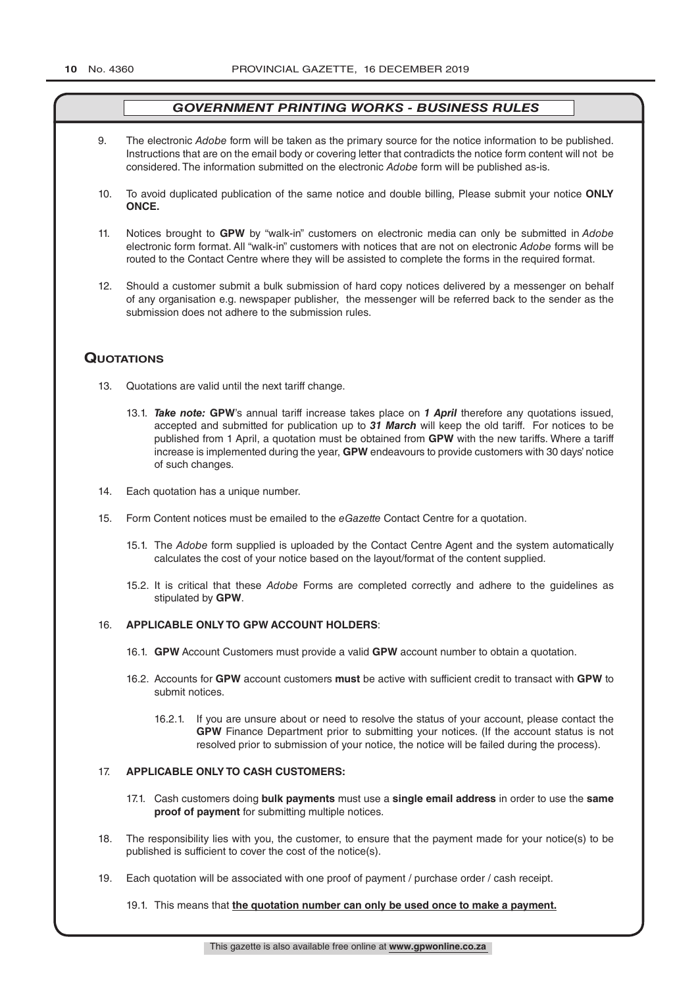- 9. The electronic *Adobe* form will be taken as the primary source for the notice information to be published. Instructions that are on the email body or covering letter that contradicts the notice form content will not be considered. The information submitted on the electronic *Adobe* form will be published as-is.
- 10. To avoid duplicated publication of the same notice and double billing, Please submit your notice **ONLY ONCE.**
- 11. Notices brought to **GPW** by "walk-in" customers on electronic media can only be submitted in *Adobe* electronic form format. All "walk-in" customers with notices that are not on electronic *Adobe* forms will be routed to the Contact Centre where they will be assisted to complete the forms in the required format.
- 12. Should a customer submit a bulk submission of hard copy notices delivered by a messenger on behalf of any organisation e.g. newspaper publisher, the messenger will be referred back to the sender as the submission does not adhere to the submission rules.

## **QuoTATions**

- 13. Quotations are valid until the next tariff change.
	- 13.1. *Take note:* **GPW**'s annual tariff increase takes place on *1 April* therefore any quotations issued, accepted and submitted for publication up to *31 March* will keep the old tariff. For notices to be published from 1 April, a quotation must be obtained from **GPW** with the new tariffs. Where a tariff increase is implemented during the year, **GPW** endeavours to provide customers with 30 days' notice of such changes.
- 14. Each quotation has a unique number.
- 15. Form Content notices must be emailed to the *eGazette* Contact Centre for a quotation.
	- 15.1. The *Adobe* form supplied is uploaded by the Contact Centre Agent and the system automatically calculates the cost of your notice based on the layout/format of the content supplied.
	- 15.2. It is critical that these *Adobe* Forms are completed correctly and adhere to the guidelines as stipulated by **GPW**.

#### 16. **APPLICABLE ONLY TO GPW ACCOUNT HOLDERS**:

- 16.1. **GPW** Account Customers must provide a valid **GPW** account number to obtain a quotation.
- 16.2. Accounts for **GPW** account customers **must** be active with sufficient credit to transact with **GPW** to submit notices.
	- 16.2.1. If you are unsure about or need to resolve the status of your account, please contact the **GPW** Finance Department prior to submitting your notices. (If the account status is not resolved prior to submission of your notice, the notice will be failed during the process).

#### 17. **APPLICABLE ONLY TO CASH CUSTOMERS:**

- 17.1. Cash customers doing **bulk payments** must use a **single email address** in order to use the **same proof of payment** for submitting multiple notices.
- 18. The responsibility lies with you, the customer, to ensure that the payment made for your notice(s) to be published is sufficient to cover the cost of the notice(s).
- 19. Each quotation will be associated with one proof of payment / purchase order / cash receipt.

#### 19.1. This means that **the quotation number can only be used once to make a payment.**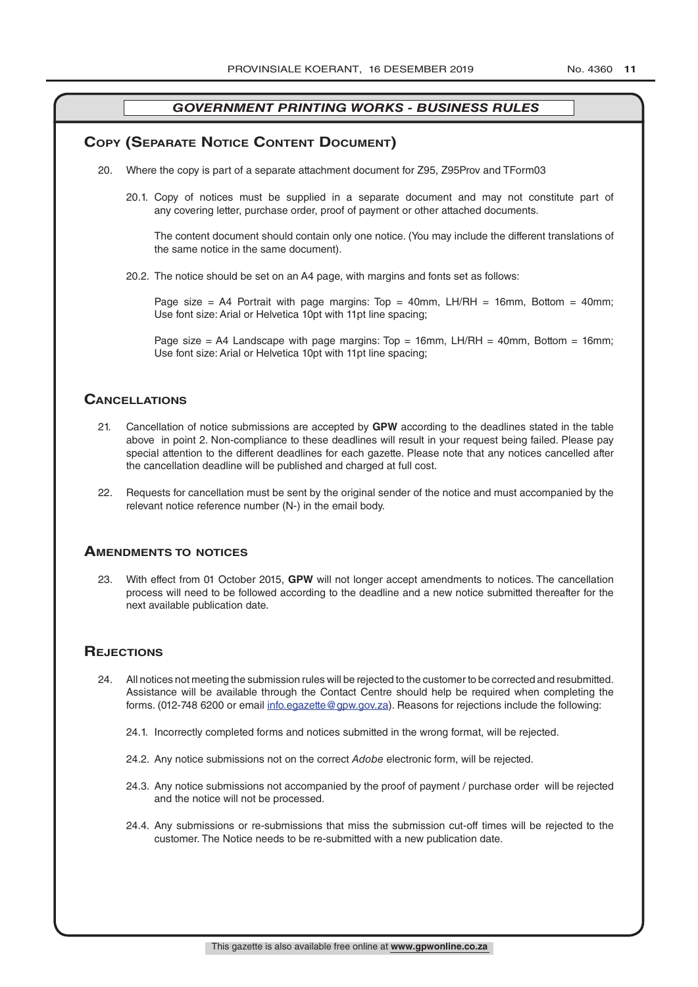#### **COPY (SEPARATE NOTICE CONTENT DOCUMENT)**

- 20. Where the copy is part of a separate attachment document for Z95, Z95Prov and TForm03
	- 20.1. Copy of notices must be supplied in a separate document and may not constitute part of any covering letter, purchase order, proof of payment or other attached documents.

The content document should contain only one notice. (You may include the different translations of the same notice in the same document).

20.2. The notice should be set on an A4 page, with margins and fonts set as follows:

Page size = A4 Portrait with page margins: Top = 40mm, LH/RH = 16mm, Bottom = 40mm; Use font size: Arial or Helvetica 10pt with 11pt line spacing;

Page size = A4 Landscape with page margins:  $Top = 16mm$ , LH/RH = 40mm, Bottom = 16mm; Use font size: Arial or Helvetica 10pt with 11pt line spacing;

#### **CAnCellATions**

- 21. Cancellation of notice submissions are accepted by **GPW** according to the deadlines stated in the table above in point 2. Non-compliance to these deadlines will result in your request being failed. Please pay special attention to the different deadlines for each gazette. Please note that any notices cancelled after the cancellation deadline will be published and charged at full cost.
- 22. Requests for cancellation must be sent by the original sender of the notice and must accompanied by the relevant notice reference number (N-) in the email body.

#### **AmendmenTs To noTiCes**

23. With effect from 01 October 2015, **GPW** will not longer accept amendments to notices. The cancellation process will need to be followed according to the deadline and a new notice submitted thereafter for the next available publication date.

#### **REJECTIONS**

- 24. All notices not meeting the submission rules will be rejected to the customer to be corrected and resubmitted. Assistance will be available through the Contact Centre should help be required when completing the forms. (012-748 6200 or email info.egazette@gpw.gov.za). Reasons for rejections include the following:
	- 24.1. Incorrectly completed forms and notices submitted in the wrong format, will be rejected.
	- 24.2. Any notice submissions not on the correct *Adobe* electronic form, will be rejected.
	- 24.3. Any notice submissions not accompanied by the proof of payment / purchase order will be rejected and the notice will not be processed.
	- 24.4. Any submissions or re-submissions that miss the submission cut-off times will be rejected to the customer. The Notice needs to be re-submitted with a new publication date.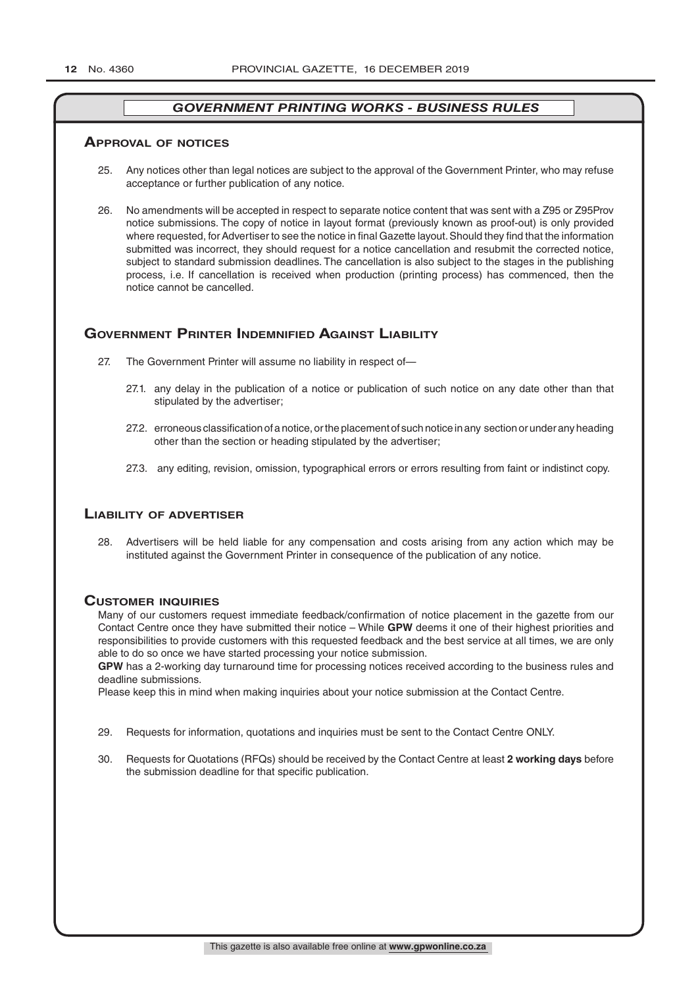#### **ApprovAl of noTiCes**

- 25. Any notices other than legal notices are subject to the approval of the Government Printer, who may refuse acceptance or further publication of any notice.
- 26. No amendments will be accepted in respect to separate notice content that was sent with a Z95 or Z95Prov notice submissions. The copy of notice in layout format (previously known as proof-out) is only provided where requested, for Advertiser to see the notice in final Gazette layout. Should they find that the information submitted was incorrect, they should request for a notice cancellation and resubmit the corrected notice, subject to standard submission deadlines. The cancellation is also subject to the stages in the publishing process, i.e. If cancellation is received when production (printing process) has commenced, then the notice cannot be cancelled.

## **governmenT prinTer indemnified AgAinsT liAbiliTy**

- 27. The Government Printer will assume no liability in respect of—
	- 27.1. any delay in the publication of a notice or publication of such notice on any date other than that stipulated by the advertiser;
	- 27.2. erroneous classification of a notice, or the placement of such notice in any section or under any heading other than the section or heading stipulated by the advertiser;
	- 27.3. any editing, revision, omission, typographical errors or errors resulting from faint or indistinct copy.

#### **liAbiliTy of AdverTiser**

28. Advertisers will be held liable for any compensation and costs arising from any action which may be instituted against the Government Printer in consequence of the publication of any notice.

#### **CusTomer inQuiries**

Many of our customers request immediate feedback/confirmation of notice placement in the gazette from our Contact Centre once they have submitted their notice – While **GPW** deems it one of their highest priorities and responsibilities to provide customers with this requested feedback and the best service at all times, we are only able to do so once we have started processing your notice submission.

**GPW** has a 2-working day turnaround time for processing notices received according to the business rules and deadline submissions.

Please keep this in mind when making inquiries about your notice submission at the Contact Centre.

- 29. Requests for information, quotations and inquiries must be sent to the Contact Centre ONLY.
- 30. Requests for Quotations (RFQs) should be received by the Contact Centre at least **2 working days** before the submission deadline for that specific publication.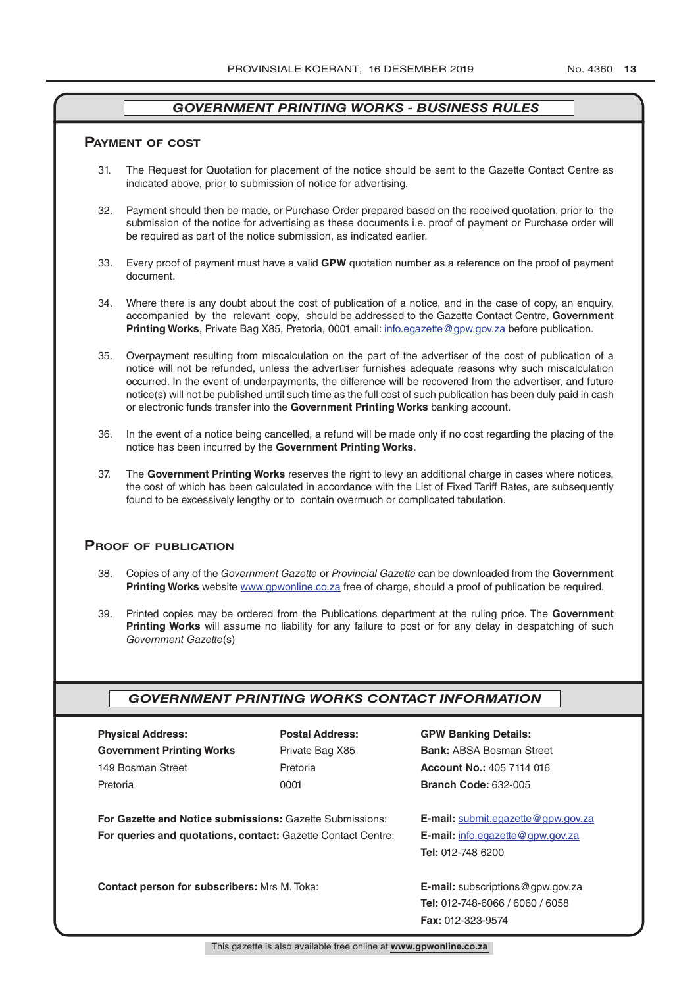#### **pAymenT of CosT**

- 31. The Request for Quotation for placement of the notice should be sent to the Gazette Contact Centre as indicated above, prior to submission of notice for advertising.
- 32. Payment should then be made, or Purchase Order prepared based on the received quotation, prior to the submission of the notice for advertising as these documents i.e. proof of payment or Purchase order will be required as part of the notice submission, as indicated earlier.
- 33. Every proof of payment must have a valid **GPW** quotation number as a reference on the proof of payment document.
- 34. Where there is any doubt about the cost of publication of a notice, and in the case of copy, an enquiry, accompanied by the relevant copy, should be addressed to the Gazette Contact Centre, **Government Printing Works**, Private Bag X85, Pretoria, 0001 email: info.egazette@gpw.gov.za before publication.
- 35. Overpayment resulting from miscalculation on the part of the advertiser of the cost of publication of a notice will not be refunded, unless the advertiser furnishes adequate reasons why such miscalculation occurred. In the event of underpayments, the difference will be recovered from the advertiser, and future notice(s) will not be published until such time as the full cost of such publication has been duly paid in cash or electronic funds transfer into the **Government Printing Works** banking account.
- 36. In the event of a notice being cancelled, a refund will be made only if no cost regarding the placing of the notice has been incurred by the **Government Printing Works**.
- 37. The **Government Printing Works** reserves the right to levy an additional charge in cases where notices, the cost of which has been calculated in accordance with the List of Fixed Tariff Rates, are subsequently found to be excessively lengthy or to contain overmuch or complicated tabulation.

#### **proof of publiCATion**

- 38. Copies of any of the *Government Gazette* or *Provincial Gazette* can be downloaded from the **Government Printing Works** website www.gpwonline.co.za free of charge, should a proof of publication be required.
- 39. Printed copies may be ordered from the Publications department at the ruling price. The **Government Printing Works** will assume no liability for any failure to post or for any delay in despatching of such *Government Gazette*(s)

#### *GOVERNMENT PRINTING WORKS CONTACT INFORMATION*

| <b>Physical Address:</b>                                                                                                 | <b>Postal Address:</b> | <b>GPW Banking Details:</b>                                                                               |  |
|--------------------------------------------------------------------------------------------------------------------------|------------------------|-----------------------------------------------------------------------------------------------------------|--|
| <b>Government Printing Works</b>                                                                                         | Private Bag X85        | <b>Bank: ABSA Bosman Street</b>                                                                           |  |
| 149 Bosman Street                                                                                                        | Pretoria               | <b>Account No.: 405 7114 016</b>                                                                          |  |
| Pretoria                                                                                                                 | 0001                   | <b>Branch Code: 632-005</b>                                                                               |  |
| For Gazette and Notice submissions: Gazette Submissions:<br>For queries and quotations, contact: Gazette Contact Centre: |                        | <b>E-mail:</b> submit.eqazette@gpw.gov.za<br><b>E-mail:</b> info.egazette@gpw.gov.za<br>Tel: 012-748 6200 |  |
| <b>Contact person for subscribers: Mrs M. Toka:</b>                                                                      |                        | <b>E-mail:</b> subscriptions@gpw.gov.za                                                                   |  |
|                                                                                                                          |                        | <b>Tel:</b> 012-748-6066 / 6060 / 6058                                                                    |  |

This gazette is also available free online at **www.gpwonline.co.za**

**Fax:** 012-323-9574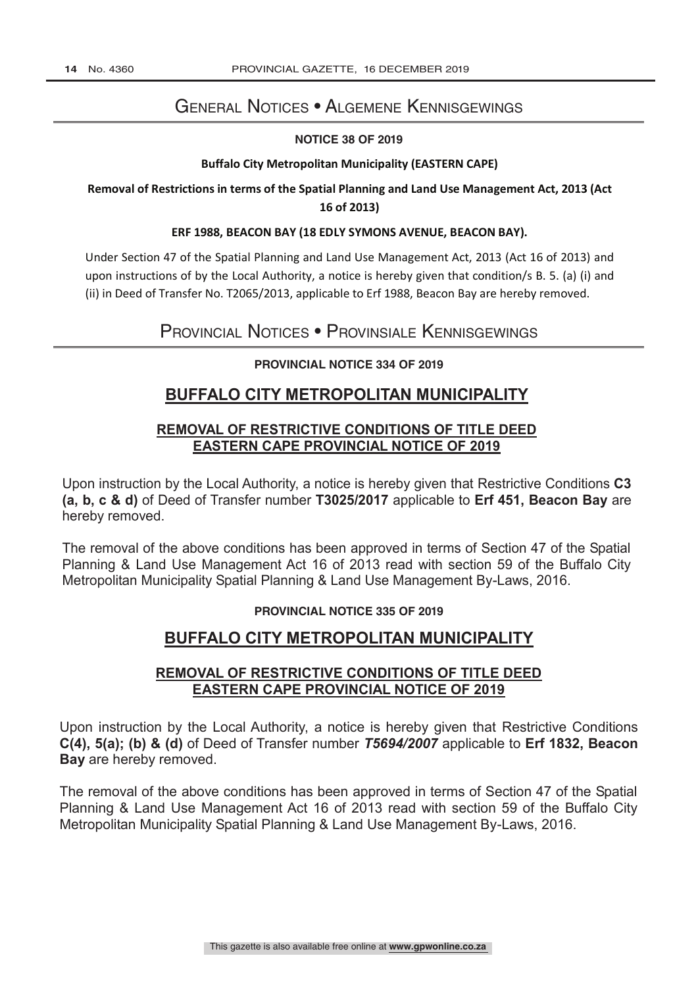## General Notices • Algemene Kennisgewings

#### **NOTICE 38 OF 2019**

#### **Buffalo City Metropolitan Municipality (EASTERN CAPE)**

## **Removal of Restrictions in terms of the Spatial Planning and Land Use Management Act, 2013 (Act 16 of 2013)**

#### **ERF 1988, BEACON BAY (18 EDLY SYMONS AVENUE, BEACON BAY).**

Under Section 47 of the Spatial Planning and Land Use Management Act, 2013 (Act 16 of 2013) and upon instructions of by the Local Authority, a notice is hereby given that condition/s B. 5. (a) (i) and (ii) in Deed of Transfer No. T2065/2013, applicable to Erf 1988, Beacon Bay are hereby removed.

## PROVINCIAL NOTICES • PROVINSIALE KENNISGEWINGS

### **PROVINCIAL NOTICE 334 OF 2019**

## **BUFFALO CITY METROPOLITAN MUNICIPALITY**

## **REMOVAL OF RESTRICTIVE CONDITIONS OF TITLE DEED EASTERN CAPE PROVINCIAL NOTICE OF 2019**

Upon instruction by the Local Authority, a notice is hereby given that Restrictive Conditions **C3 (a, b, c & d)** of Deed of Transfer number **T3025/2017** applicable to **Erf 451, Beacon Bay** are hereby removed.

The removal of the above conditions has been approved in terms of Section 47 of the Spatial Planning & Land Use Management Act 16 of 2013 read with section 59 of the Buffalo City Metropolitan Municipality Spatial Planning & Land Use Management By-Laws, 2016.

## **PROVINCIAL NOTICE 335 OF 2019**

## **BUFFALO CITY METROPOLITAN MUNICIPALITY**

## **REMOVAL OF RESTRICTIVE CONDITIONS OF TITLE DEED EASTERN CAPE PROVINCIAL NOTICE OF 2019**

Upon instruction by the Local Authority, a notice is hereby given that Restrictive Conditions **C(4), 5(a); (b) & (d)** of Deed of Transfer number *T5694/2007* applicable to **Erf 1832, Beacon Bay** are hereby removed.

The removal of the above conditions has been approved in terms of Section 47 of the Spatial Planning & Land Use Management Act 16 of 2013 read with section 59 of the Buffalo City Metropolitan Municipality Spatial Planning & Land Use Management By-Laws, 2016.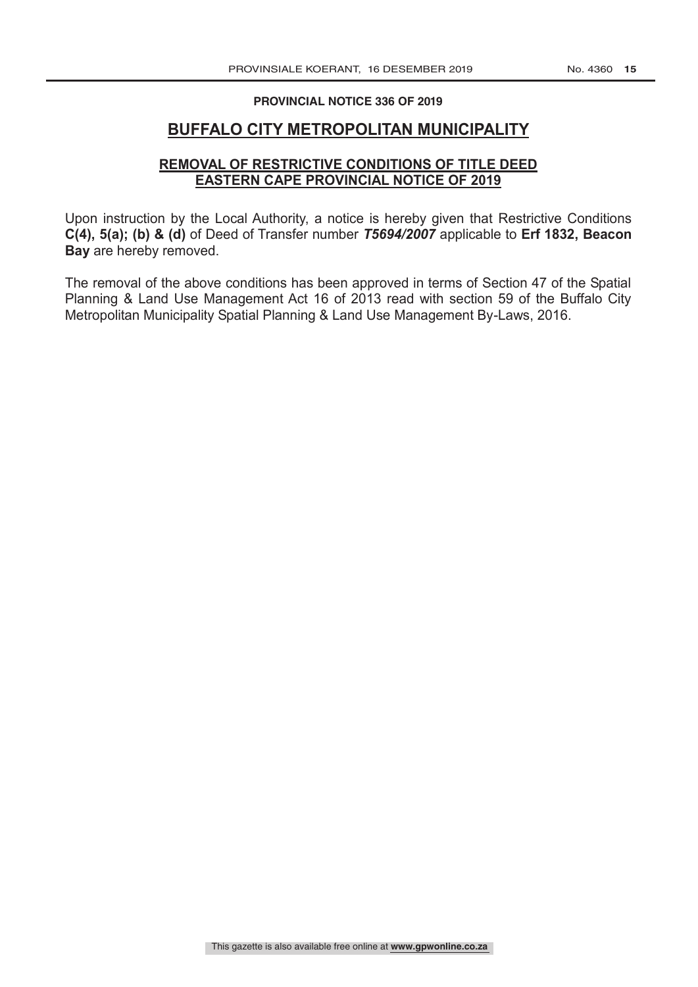#### **PROVINCIAL NOTICE 336 OF 2019**

## **BUFFALO CITY METROPOLITAN MUNICIPALITY**

## **REMOVAL OF RESTRICTIVE CONDITIONS OF TITLE DEED EASTERN CAPE PROVINCIAL NOTICE OF 2019**

Upon instruction by the Local Authority, a notice is hereby given that Restrictive Conditions **C(4), 5(a); (b) & (d)** of Deed of Transfer number *T5694/2007* applicable to **Erf 1832, Beacon Bay** are hereby removed.

The removal of the above conditions has been approved in terms of Section 47 of the Spatial Planning & Land Use Management Act 16 of 2013 read with section 59 of the Buffalo City Metropolitan Municipality Spatial Planning & Land Use Management By-Laws, 2016.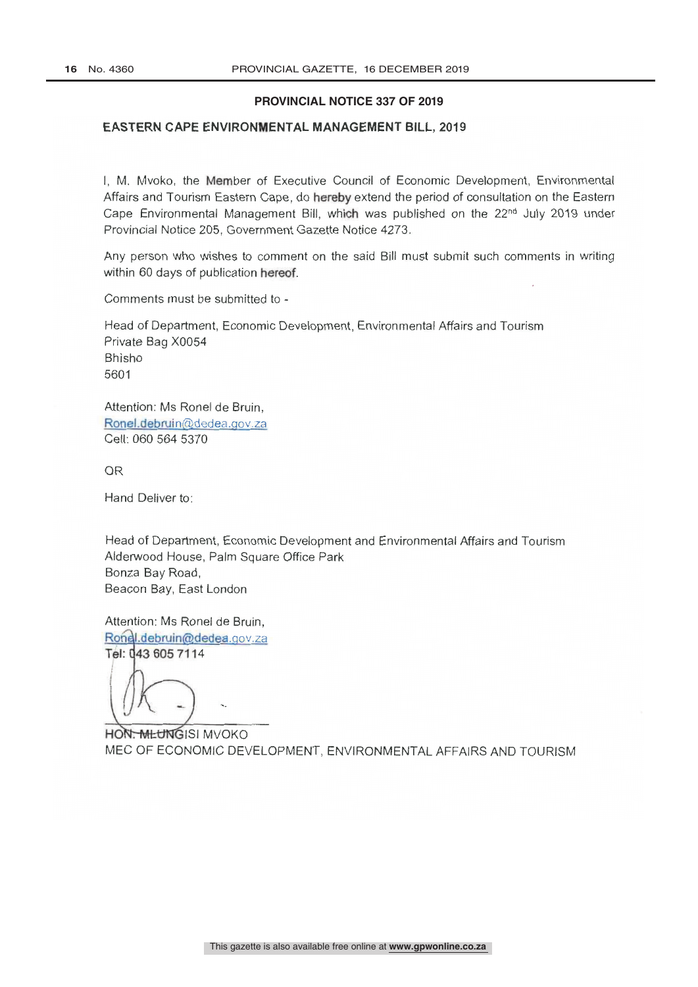### **PROVINCIAL NOTICE 337 OF 2019**

## EASTERN CAPE ENVIRONMENTAL MANAGEMENT BILL, 2019

I, M. Myoko, the Member of Executive Council of Economic Development, Environmental Affairs and Tourism Eastern Cape, do hereby extend the period of consultation on the Eastern Cape Environmental Management Bill, which was published on the 22<sup>nd</sup> July 2019 under Provincial Notice 205, Government Gazette Notice 4273.

within 60 days of publication hereof Any person who wishes to comment on the said Bill must submit such comments in writing

Comments must be submitted to -

Head of Department, Economic Development, Environmental Affairs and Tourism Private Bag X0054 Bhìsho 5601

Ronel.debruin@dedea.gov.za Attention: Ms Ronel de Bruin, Cell: 060 564 5370

OR

Hand Deliver to:

Head of Department, Economic Development and Environmental Affairs and Tourism Alderwood House, Palm Square Office Park Bonza Bay Road, Beacon Bay, East London

Rondl.debruin@dedea.gov.za Tel: 043 605 7114 Attention: Ms Ronel de Bruin,

HON: MEUNGISI MVOKO MEC OF ECONOMIC DEVELOPMENT, ENVIRONMENTAL AFFAIRS AND TOURISM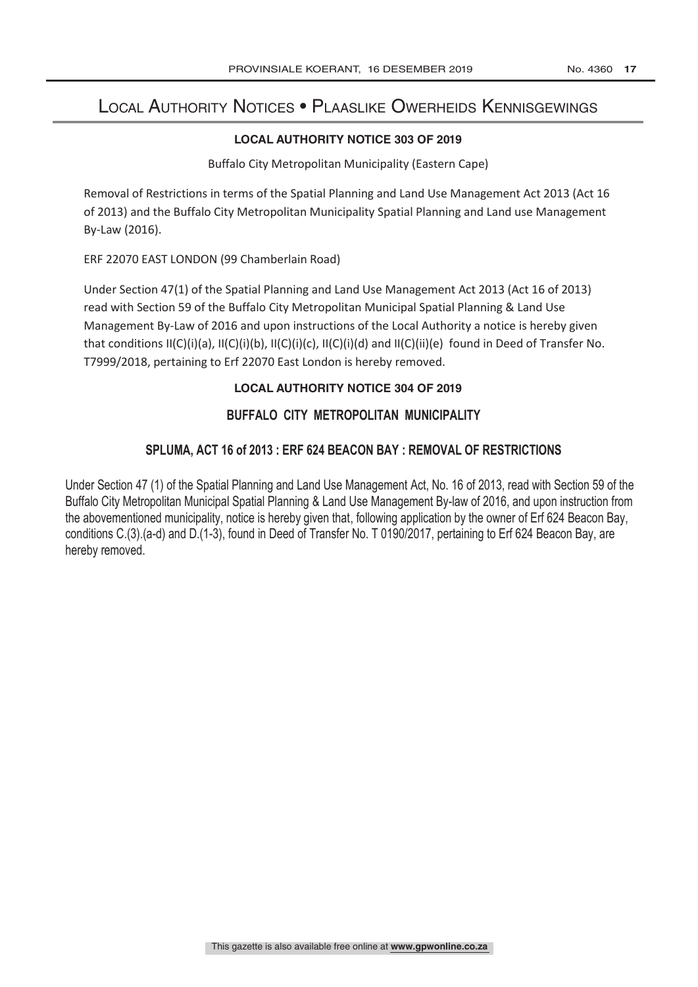## Local Authority Notices • Plaaslike Owerheids Kennisgewings

### **LOCAL AUTHORITY NOTICE 303 OF 2019**

Buffalo City Metropolitan Municipality (Eastern Cape)

Removal of Restrictions in terms of the Spatial Planning and Land Use Management Act 2013 (Act 16 of 2013) and the Buffalo City Metropolitan Municipality Spatial Planning and Land use Management By-Law (2016).

ERF 22070 EAST LONDON (99 Chamberlain Road)

Under Section 47(1) of the Spatial Planning and Land Use Management Act 2013 (Act 16 of 2013) read with Section 59 of the Buffalo City Metropolitan Municipal Spatial Planning & Land Use Management By-Law of 2016 and upon instructions of the Local Authority a notice is hereby given that conditions II(C)(i)(a), II(C)(i)(b), II(C)(i)(c), II(C)(i)(d) and II(C)(ii)(e) found in Deed of Transfer No. T7999/2018, pertaining to Erf 22070 East London is hereby removed.

## **LOCAL AUTHORITY NOTICE 304 OF 2019 LOCAL AUTHORITY NOTICE**

## **BUFFALO CITY METROPOLITAN MUNICIPALITY**

## **SPLUMA, ACT 16 of 2013 : ERF 624 BEACON BAY : REMOVAL OF RESTRICTIONS**

Under Section 47 (1) of the Spatial Planning and Land Use Management Act, No. 16 of 2013, read with Section 59 of the Buffalo City Metropolitan Municipal Spatial Planning & Land Use Management By-law of 2016, and upon instruction from the abovementioned municipality, notice is hereby given that, following application by the owner of Erf 624 Beacon Bay, conditions C.(3).(a-d) and D.(1-3), found in Deed of Transfer No. T 0190/2017, pertaining to Erf 624 Beacon Bay, are hereby removed.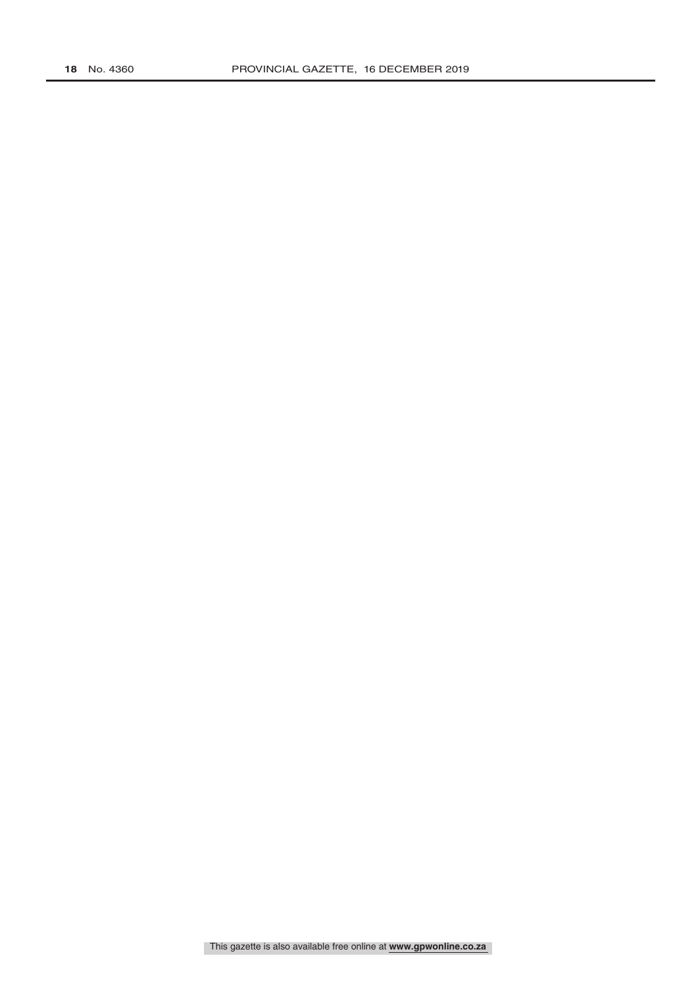This gazette is also available free online at **www.gpwonline.co.za**